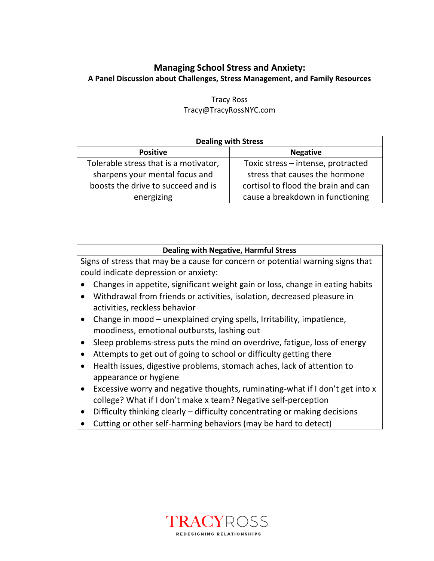## **Managing School Stress and Anxiety: A Panel Discussion about Challenges, Stress Management, and Family Resources**

| <b>Dealing with Stress</b>            |                                     |
|---------------------------------------|-------------------------------------|
| <b>Positive</b>                       | <b>Negative</b>                     |
| Tolerable stress that is a motivator, | Toxic stress - intense, protracted  |
| sharpens your mental focus and        | stress that causes the hormone      |
| boosts the drive to succeed and is    | cortisol to flood the brain and can |
| energizing                            | cause a breakdown in functioning    |

## Tracy Ross Tracy@TracyRossNYC.com

| <b>Dealing with Negative, Harmful Stress</b>                                              |  |
|-------------------------------------------------------------------------------------------|--|
| Signs of stress that may be a cause for concern or potential warning signs that           |  |
| could indicate depression or anxiety:                                                     |  |
| Changes in appetite, significant weight gain or loss, change in eating habits             |  |
| Withdrawal from friends or activities, isolation, decreased pleasure in                   |  |
| activities, reckless behavior                                                             |  |
| Change in mood – unexplained crying spells, Irritability, impatience,<br>$\bullet$        |  |
| moodiness, emotional outbursts, lashing out                                               |  |
| Sleep problems-stress puts the mind on overdrive, fatigue, loss of energy                 |  |
| Attempts to get out of going to school or difficulty getting there                        |  |
| Health issues, digestive problems, stomach aches, lack of attention to                    |  |
| appearance or hygiene                                                                     |  |
| Excessive worry and negative thoughts, ruminating-what if I don't get into x<br>$\bullet$ |  |
| college? What if I don't make x team? Negative self-perception                            |  |
| Difficultu thinline ologulu difficultu qonqqutuqting qumaling doolaaga                    |  |

- Difficulty thinking clearly difficulty concentrating or making decisions
- Cutting or other self-harming behaviors (may be hard to detect)

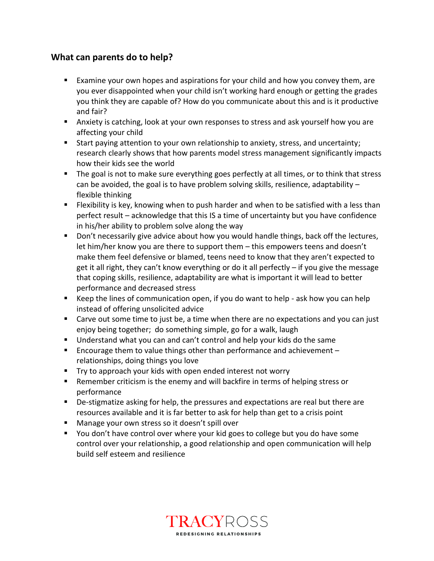## **What can parents do to help?**

- Examine your own hopes and aspirations for your child and how you convey them, are you ever disappointed when your child isn't working hard enough or getting the grades you think they are capable of? How do you communicate about this and is it productive and fair?
- Anxiety is catching, look at your own responses to stress and ask yourself how you are affecting your child
- Start paying attention to your own relationship to anxiety, stress, and uncertainty; research clearly shows that how parents model stress management significantly impacts how their kids see the world
- The goal is not to make sure everything goes perfectly at all times, or to think that stress can be avoided, the goal is to have problem solving skills, resilience, adaptability – flexible thinking
- **E** Flexibility is key, knowing when to push harder and when to be satisfied with a less than perfect result – acknowledge that this IS a time of uncertainty but you have confidence in his/her ability to problem solve along the way
- Don't necessarily give advice about how you would handle things, back off the lectures, let him/her know you are there to support them – this empowers teens and doesn't make them feel defensive or blamed, teens need to know that they aren't expected to get it all right, they can't know everything or do it all perfectly – if you give the message that coping skills, resilience, adaptability are what is important it will lead to better performance and decreased stress
- Keep the lines of communication open, if you do want to help ask how you can help instead of offering unsolicited advice
- Carve out some time to just be, a time when there are no expectations and you can just enjoy being together; do something simple, go for a walk, laugh
- Understand what you can and can't control and help your kids do the same
- Encourage them to value things other than performance and achievement relationships, doing things you love
- Try to approach your kids with open ended interest not worry
- Remember criticism is the enemy and will backfire in terms of helping stress or performance
- De-stigmatize asking for help, the pressures and expectations are real but there are resources available and it is far better to ask for help than get to a crisis point
- Manage your own stress so it doesn't spill over
- You don't have control over where your kid goes to college but you do have some control over your relationship, a good relationship and open communication will help build self esteem and resilience